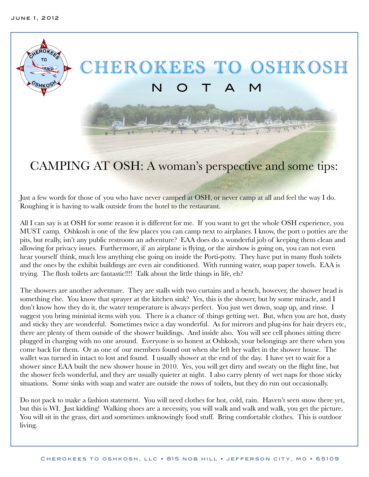

## CAMPING AT OSH: A woman's perspective and some tips:

Just a few words for those of you who have never camped at OSH, or never camp at all and feel the way I do. Roughing it is having to walk outside from the hotel to the restaurant.

All I can say is at OSH for some reason it is different for me. If you want to get the whole OSH experience, you MUST camp. Oshkosh is one of the few places you can camp next to airplanes. I know, the port o potties are the pits, but really, isn't any public restroom an adventure? EAA does do a wonderful job of keeping them clean and allowing for privacy issues. Furthermore, if an airplane is flying, or the airshow is going on, you can not even hear yourself think, much less anything else going on inside the Porti-potty. They have put in many flush toilets and the ones by the exhibit buildings are even air conditioned. With running water, soap paper towels. EAA is trying. The flush toilets are fantastic!!!! Talk about the little things in life, eh?

The showers are another adventure. They are stalls with two curtains and a bench, however, the shower head is something else. You know that sprayer at the kitchen sink? Yes, this is the shower, but by some miracle, and I don't know how they do it, the water temperature is always perfect. You just wet down, soap up, and rinse. I suggest you bring minimal items with you. There is a chance of things getting wet. But, when you are hot, dusty and sticky they are wonderful. Sometimes twice a day wonderful. As for mirrors and plug-ins for hair dryers etc, there are plenty of them outside of the shower buildings. And inside also. You will see cell phones sitting there plugged in charging with no one around. Everyone is so honest at Oshkosh, your belongings are there when you come back for them. Or as one of our members found out when she left her wallet in the shower house. The wallet was turned in intact to lost and found. I usually shower at the end of the day. I have yet to wait for a shower since EAA built the new shower house in 2010. Yes, you will get dirty and sweaty on the flight line, but the shower feels wonderful, and they are usually quieter at night. I also carry plenty of wet naps for those sticky situations. Some sinks with soap and water are outside the rows of toilets, but they do run out occasionally.

Do not pack to make a fashion statement. You will need clothes for hot, cold, rain. Haven't seen snow there yet, but this is WI. Just kidding! Walking shoes are a necessity, you will walk and walk and walk, you get the picture. You will sit in the grass, dirt and sometimes unknowingly food stuff. Bring comfortable clothes. This is outdoor living.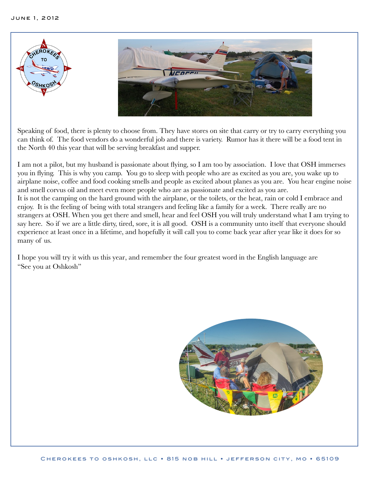

Speaking of food, there is plenty to choose from. They have stores on site that carry or try to carry everything you can think of. The food vendors do a wonderful job and there is variety. Rumor has it there will be a food tent in the North 40 this year that will be serving breakfast and supper.

I am not a pilot, but my husband is passionate about flying, so I am too by association. I love that OSH immerses you in flying. This is why you camp. You go to sleep with people who are as excited as you are, you wake up to airplane noise, coffee and food cooking smells and people as excited about planes as you are. You hear engine noise and smell corvus oil and meet even more people who are as passionate and excited as you are. It is not the camping on the hard ground with the airplane, or the toilets, or the heat, rain or cold I embrace and enjoy. It is the feeling of being with total strangers and feeling like a family for a week. There really are no strangers at OSH. When you get there and smell, hear and feel OSH you will truly understand what I am trying to say here. So if we are a little dirty, tired, sore, it is all good. OSH is a community unto itself that everyone should experience at least once in a lifetime, and hopefully it will call you to come back year after year like it does for so many of us.

I hope you will try it with us this year, and remember the four greatest word in the English language are "See you at Oshkosh"